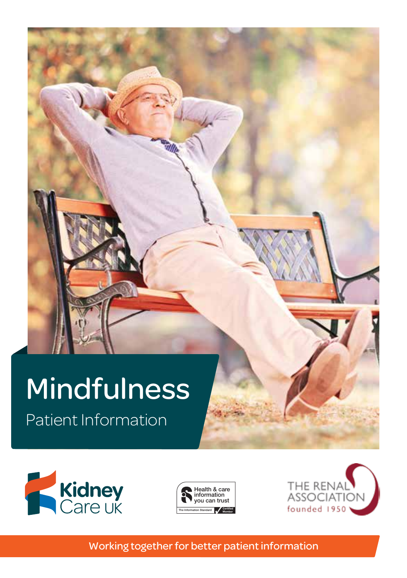# Use of The Information of The Information Mindfulness

Patient Information





**Choosing your logo** 



The Information Standard has four logo versions for its members. They are designed to fit neatly in the second

Working together for better patient information use the logos shown above.

 $\mathcal{H}(\mathcal{A})$  is a careful  $\mathcal{H}(\mathcal{A})$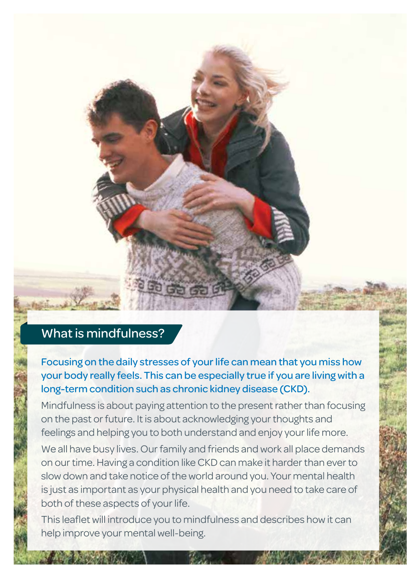### What is mindfulness?

Focusing on the daily stresses of your life can mean that you miss how your body really feels. This can be especially true if you are living with a long-term condition such as chronic kidney disease (CKD).

Mindfulness is about paying attention to the present rather than focusing on the past or future. It is about acknowledging your thoughts and feelings and helping you to both understand and enjoy your life more.

We all have busy lives. Our family and friends and work all place demands on our time. Having a condition like CKD can make it harder than ever to slow down and take notice of the world around you. Your mental health is just as important as your physical health and you need to take care of both of these aspects of your life.

This leaflet will introduce you to mindfulness and describes how it can help improve your mental well-being.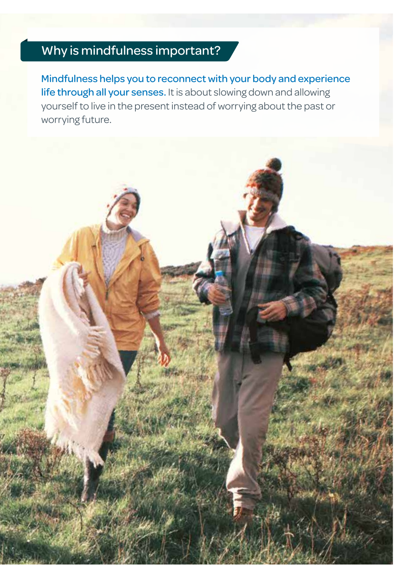## Why is mindfulness important?

Mindfulness helps you to reconnect with your body and experience life through all your senses. It is about slowing down and allowing yourself to live in the present instead of worrying about the past or worrying future.

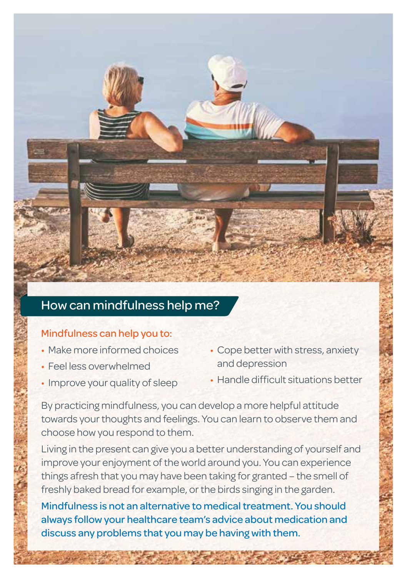### How can mindfulness help me?

### Mindfulness can help you to:

- Make more informed choices
- Feel less overwhelmed
- Improve your quality of sleep
- Cope better with stress, anxiety and depression
- Handle difficult situations better

By practicing mindfulness, you can develop a more helpful attitude towards your thoughts and feelings. You can learn to observe them and choose how you respond to them.

Living in the present can give you a better understanding of yourself and improve your enjoyment of the world around you. You can experience things afresh that you may have been taking for granted – the smell of freshly baked bread for example, or the birds singing in the garden.

Mindfulness is not an alternative to medical treatment. You should always follow your healthcare team's advice about medication and discuss any problems that you may be having with them.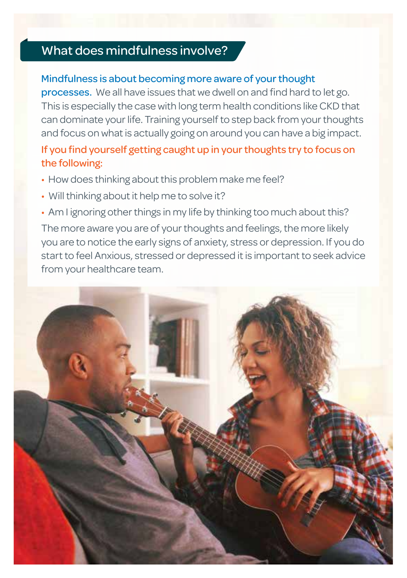### What does mindfulness involve?

### Mindfulness is about becoming more aware of your thought

processes. We all have issues that we dwell on and find hard to let go. This is especially the case with long term health conditions like CKD that can dominate your life. Training yourself to step back from your thoughts and focus on what is actually going on around you can have a big impact.

### If you find yourself getting caught up in your thoughts try to focus on the following:

- How does thinking about this problem make me feel?
- Will thinking about it help me to solve it?
- Am I ignoring other things in my life by thinking too much about this?

The more aware you are of your thoughts and feelings, the more likely you are to notice the early signs of anxiety, stress or depression. If you do start to feel Anxious, stressed or depressed it is important to seek advice from your healthcare team.

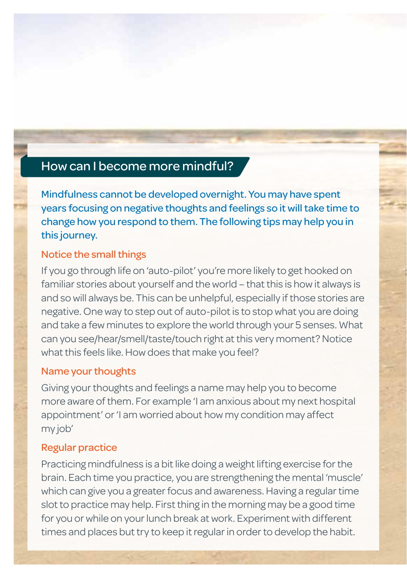### How can I become more mindful?

Mindfulness cannot be developed overnight. You may have spent years focusing on negative thoughts and feelings so it will take time to change how you respond to them. The following tips may help you in this journey.

#### Notice the small things

If you go through life on 'auto-pilot' you're more likely to get hooked on familiar stories about yourself and the world – that this is how it always is and so will always be. This can be unhelpful, especially if those stories are negative. One way to step out of auto-pilot is to stop what you are doing and take a few minutes to explore the world through your 5 senses. What can you see/hear/smell/taste/touch right at this very moment? Notice what this feels like. How does that make you feel?

#### Name your thoughts

Giving your thoughts and feelings a name may help you to become more aware of them. For example 'I am anxious about my next hospital appointment' or 'I am worried about how my condition may affect my job'

#### Regular practice

Practicing mindfulness is a bit like doing a weight lifting exercise for the brain. Each time you practice, you are strengthening the mental 'muscle' which can give you a greater focus and awareness. Having a regular time slot to practice may help. First thing in the morning may be a good time for you or while on your lunch break at work. Experiment with different times and places but try to keep it regular in order to develop the habit.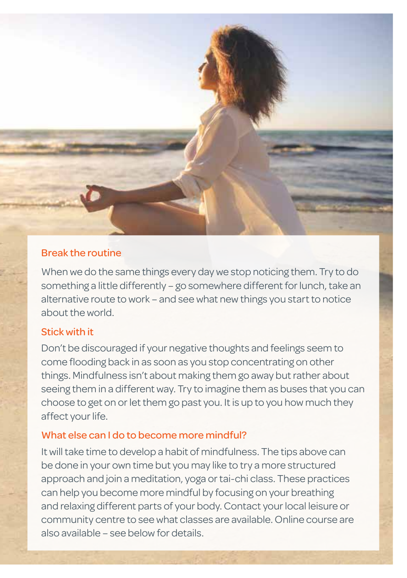

#### Break the routine

When we do the same things every day we stop noticing them. Try to do something a little differently – go somewhere different for lunch, take an alternative route to work – and see what new things you start to notice about the world.

#### Stick with it

Don't be discouraged if your negative thoughts and feelings seem to come flooding back in as soon as you stop concentrating on other things. Mindfulness isn't about making them go away but rather about seeing them in a different way. Try to imagine them as buses that you can choose to get on or let them go past you. It is up to you how much they affect your life.

#### What else can I do to become more mindful?

It will take time to develop a habit of mindfulness. The tips above can be done in your own time but you may like to try a more structured approach and join a meditation, yoga or tai-chi class. These practices can help you become more mindful by focusing on your breathing and relaxing different parts of your body. Contact your local leisure or community centre to see what classes are available. Online course are also available – see below for details.